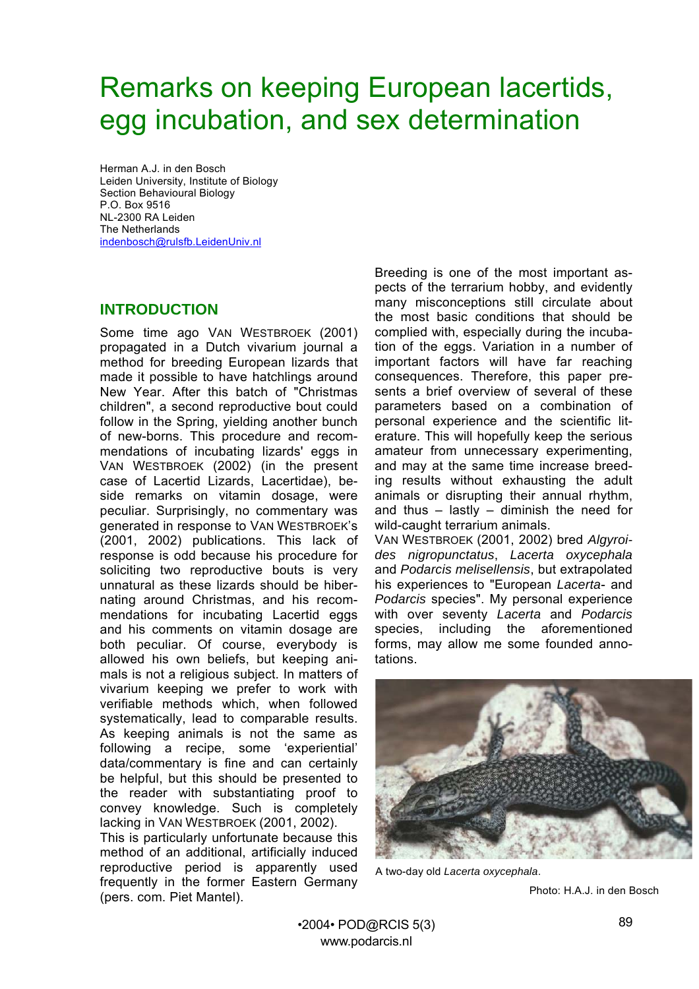# Remarks on keeping European lacertids, egg incubation, and sex determination

Herman A.J. in den Bosch Leiden University, Institute of Biology Section Behavioural Biology P.O. Box 9516 NL-2300 RA Leiden The Netherlands [indenbosch@rulsfb.LeidenUniv.nl](mailto:indenbosch@rulsfb.LeidenUniv.nl)

#### **INTRODUCTION**

Some time ago VAN WESTBROEK (2001) propagated in a Dutch vivarium journal a method for breeding European lizards that made it possible to have hatchlings around New Year. After this batch of "Christmas children", a second reproductive bout could follow in the Spring, yielding another bunch of new-borns. This procedure and recommendations of incubating lizards' eggs in VAN WESTBROEK (2002) (in the present case of Lacertid Lizards, Lacertidae), beside remarks on vitamin dosage, were peculiar. Surprisingly, no commentary was generated in response to VAN WESTBROEK's (2001, 2002) publications. This lack of response is odd because his procedure for soliciting two reproductive bouts is very unnatural as these lizards should be hibernating around Christmas, and his recommendations for incubating Lacertid eggs and his comments on vitamin dosage are both peculiar. Of course, everybody is allowed his own beliefs, but keeping animals is not a religious subject. In matters of vivarium keeping we prefer to work with verifiable methods which, when followed systematically, lead to comparable results. As keeping animals is not the same as following a recipe, some 'experiential' data/commentary is fine and can certainly be helpful, but this should be presented to the reader with substantiating proof to convey knowledge. Such is completely lacking in VAN WESTBROEK (2001, 2002).

This is particularly unfortunate because this method of an additional, artificially induced reproductive period is apparently used frequently in the former Eastern Germany (pers. com. Piet Mantel).

Breeding is one of the most important aspects of the terrarium hobby, and evidently many misconceptions still circulate about the most basic conditions that should be complied with, especially during the incubation of the eggs. Variation in a number of important factors will have far reaching consequences. Therefore, this paper presents a brief overview of several of these parameters based on a combination of personal experience and the scientific literature. This will hopefully keep the serious amateur from unnecessary experimenting, and may at the same time increase breeding results without exhausting the adult animals or disrupting their annual rhythm, and thus – lastly – diminish the need for wild-caught terrarium animals.

VAN WESTBROEK (2001, 2002) bred *Algyroides nigropunctatus*, *Lacerta oxycephala* and *Podarcis melisellensis*, but extrapolated his experiences to "European *Lacerta*- and *Podarcis* species". My personal experience with over seventy *Lacerta* and *Podarcis* species, including the aforementioned forms, may allow me some founded annotations.



A two-day old *Lacerta oxycephala*.

Photo: H.A.J. in den Bosch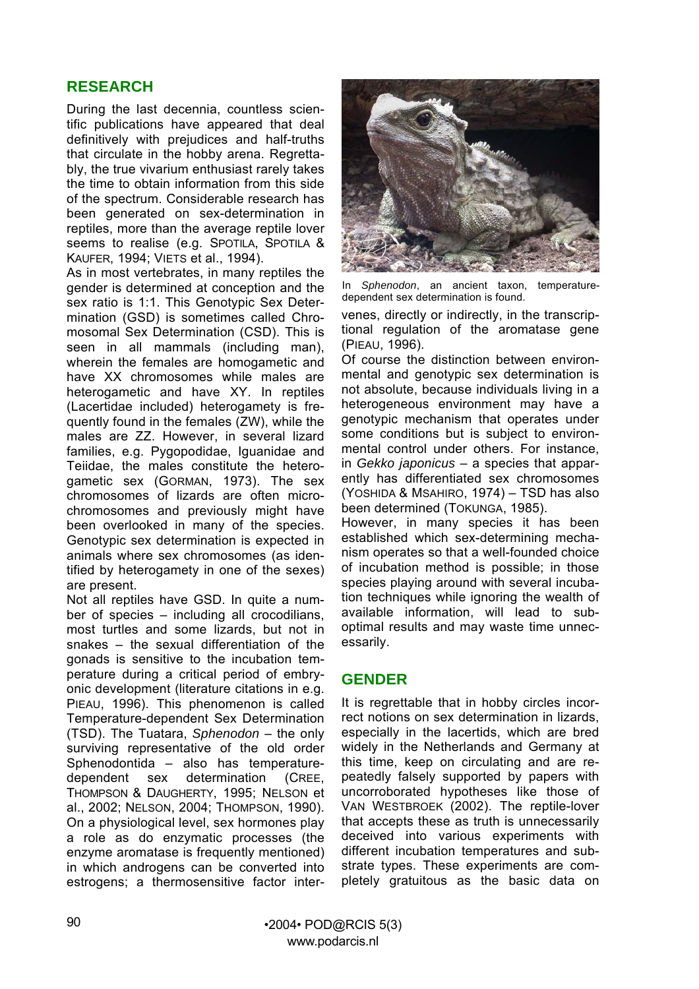## **RESEARCH**

During the last decennia, countless scientific publications have appeared that deal definitively with prejudices and half-truths that circulate in the hobby arena. Regrettably, the true vivarium enthusiast rarely takes the time to obtain information from this side of the spectrum. Considerable research has been generated on sex-determination in reptiles, more than the average reptile lover seems to realise (e.g. SPOTILA, SPOTILA & KAUFER, 1994; VIETS et al., 1994).

As in most vertebrates, in many reptiles the gender is determined at conception and the sex ratio is 1:1. This Genotypic Sex Determination (GSD) is sometimes called Chromosomal Sex Determination (CSD). This is seen in all mammals (including man), wherein the females are homogametic and have XX chromosomes while males are heterogametic and have XY. In reptiles (Lacertidae included) heterogamety is frequently found in the females (ZW), while the males are ZZ. However, in several lizard families, e.g. Pygopodidae, Iguanidae and Teiidae, the males constitute the heterogametic sex (GORMAN, 1973). The sex chromosomes of lizards are often microchromosomes and previously might have been overlooked in many of the species. Genotypic sex determination is expected in animals where sex chromosomes (as identified by heterogamety in one of the sexes) are present.

Not all reptiles have GSD. In quite a number of species – including all crocodilians, most turtles and some lizards, but not in snakes – the sexual differentiation of the gonads is sensitive to the incubation temperature during a critical period of embryonic development (literature citations in e.g. PIEAU, 1996). This phenomenon is called Temperature-dependent Sex Determination (TSD). The Tuatara, *Sphenodon* – the only surviving representative of the old order Sphenodontida – also has temperaturedependent sex determination (CREE, THOMPSON & DAUGHERTY, 1995; NELSON et al., 2002; NELSON, 2004; THOMPSON, 1990). On a physiological level, sex hormones play a role as do enzymatic processes (the enzyme aromatase is frequently mentioned) in which androgens can be converted into estrogens; a thermosensitive factor inter-



In *Sphenodon*, an ancient taxon, temperaturedependent sex determination is found.

venes, directly or indirectly, in the transcriptional regulation of the aromatase gene (PIEAU, 1996).

Of course the distinction between environmental and genotypic sex determination is not absolute, because individuals living in a heterogeneous environment may have a genotypic mechanism that operates under some conditions but is subject to environmental control under others. For instance, in *Gekko japonicus* – a species that apparently has differentiated sex chromosomes (YOSHIDA & MSAHIRO, 1974) – TSD has also been determined (TOKUNGA, 1985).

However, in many species it has been established which sex-determining mechanism operates so that a well-founded choice of incubation method is possible; in those species playing around with several incubation techniques while ignoring the wealth of available information, will lead to suboptimal results and may waste time unnecessarily.

#### **GENDER**

It is regrettable that in hobby circles incorrect notions on sex determination in lizards, especially in the lacertids, which are bred widely in the Netherlands and Germany at this time, keep on circulating and are repeatedly falsely supported by papers with uncorroborated hypotheses like those of VAN WESTBROEK (2002). The reptile-lover that accepts these as truth is unnecessarily deceived into various experiments with different incubation temperatures and substrate types. These experiments are completely gratuitous as the basic data on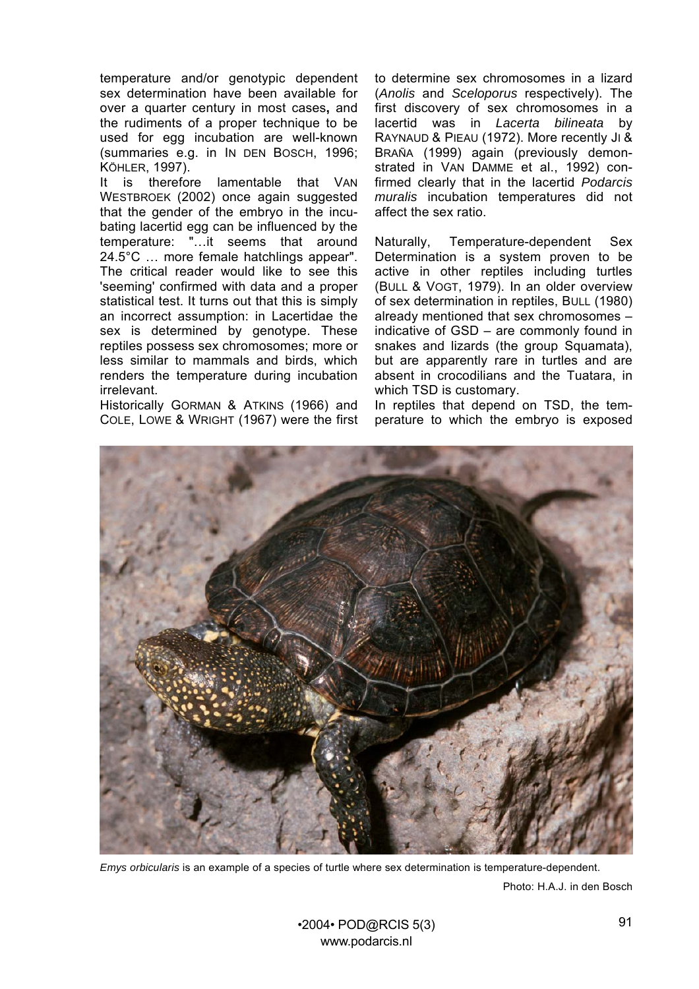temperature and/or genotypic dependent sex determination have been available for over a quarter century in most cases**,** and the rudiments of a proper technique to be used for egg incubation are well-known (summaries e.g. in IN DEN BOSCH, 1996; KÖHLER, 1997).

It is therefore lamentable that VAN WESTBROEK (2002) once again suggested that the gender of the embryo in the incubating lacertid egg can be influenced by the temperature: "…it seems that around 24.5°C … more female hatchlings appear". The critical reader would like to see this 'seeming' confirmed with data and a proper statistical test. It turns out that this is simply an incorrect assumption: in Lacertidae the sex is determined by genotype. These reptiles possess sex chromosomes; more or less similar to mammals and birds, which renders the temperature during incubation irrelevant.

Historically GORMAN & ATKINS (1966) and COLE, LOWE & WRIGHT (1967) were the first to determine sex chromosomes in a lizard (*Anolis* and *Sceloporus* respectively). The first discovery of sex chromosomes in a lacertid was in *Lacerta bilineata* by RAYNAUD & PIEAU (1972). More recently JI & BRAÑA (1999) again (previously demonstrated in VAN DAMME et al., 1992) confirmed clearly that in the lacertid *Podarcis muralis* incubation temperatures did not affect the sex ratio.

Naturally, Temperature-dependent Sex Determination is a system proven to be active in other reptiles including turtles (BULL & VOGT, 1979). In an older overview of sex determination in reptiles, BULL (1980) already mentioned that sex chromosomes – indicative of GSD – are commonly found in snakes and lizards (the group Squamata), but are apparently rare in turtles and are absent in crocodilians and the Tuatara, in which TSD is customary.

In reptiles that depend on TSD, the temperature to which the embryo is exposed



*Emys orbicularis* is an example of a species of turtle where sex determination is temperature-dependent. Photo: H.A.J. in den Bosch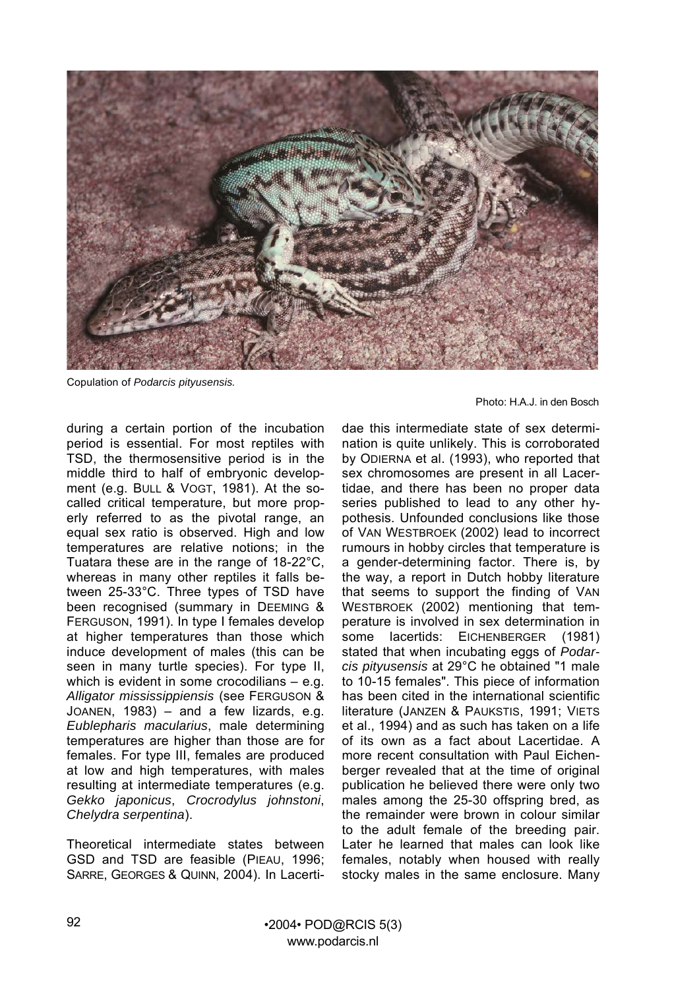

Copulation of *Podarcis pityusensis.*

during a certain portion of the incubation period is essential. For most reptiles with TSD, the thermosensitive period is in the middle third to half of embryonic development (e.g. BULL & VOGT, 1981). At the socalled critical temperature, but more properly referred to as the pivotal range, an equal sex ratio is observed. High and low temperatures are relative notions; in the Tuatara these are in the range of 18-22°C, whereas in many other reptiles it falls between 25-33°C. Three types of TSD have been recognised (summary in DEEMING & FERGUSON, 1991). In type I females develop at higher temperatures than those which induce development of males (this can be seen in many turtle species). For type II, which is evident in some crocodilians – e.g. *Alligator mississippiensis* (see FERGUSON & JOANEN, 1983) – and a few lizards, e.g. *Eublepharis macularius*, male determining temperatures are higher than those are for females. For type III, females are produced at low and high temperatures, with males resulting at intermediate temperatures (e.g. *Gekko japonicus*, *Crocrodylus johnstoni*, *Chelydra serpentina*).

Theoretical intermediate states between GSD and TSD are feasible (PIEAU, 1996; SARRE, GEORGES & QUINN, 2004). In Lacerti-

Photo: H.A.J. in den Bosch

dae this intermediate state of sex determination is quite unlikely. This is corroborated by ODIERNA et al. (1993), who reported that sex chromosomes are present in all Lacertidae, and there has been no proper data series published to lead to any other hypothesis. Unfounded conclusions like those of VAN WESTBROEK (2002) lead to incorrect rumours in hobby circles that temperature is a gender-determining factor. There is, by the way, a report in Dutch hobby literature that seems to support the finding of VAN WESTBROEK (2002) mentioning that temperature is involved in sex determination in some lacertids: EICHENBERGER (1981) stated that when incubating eggs of *Podarcis pityusensis* at 29°C he obtained "1 male to 10-15 females". This piece of information has been cited in the international scientific literature (JANZEN & PAUKSTIS, 1991; VIETS et al., 1994) and as such has taken on a life of its own as a fact about Lacertidae. A more recent consultation with Paul Eichenberger revealed that at the time of original publication he believed there were only two males among the 25-30 offspring bred, as the remainder were brown in colour similar to the adult female of the breeding pair. Later he learned that males can look like females, notably when housed with really stocky males in the same enclosure. Many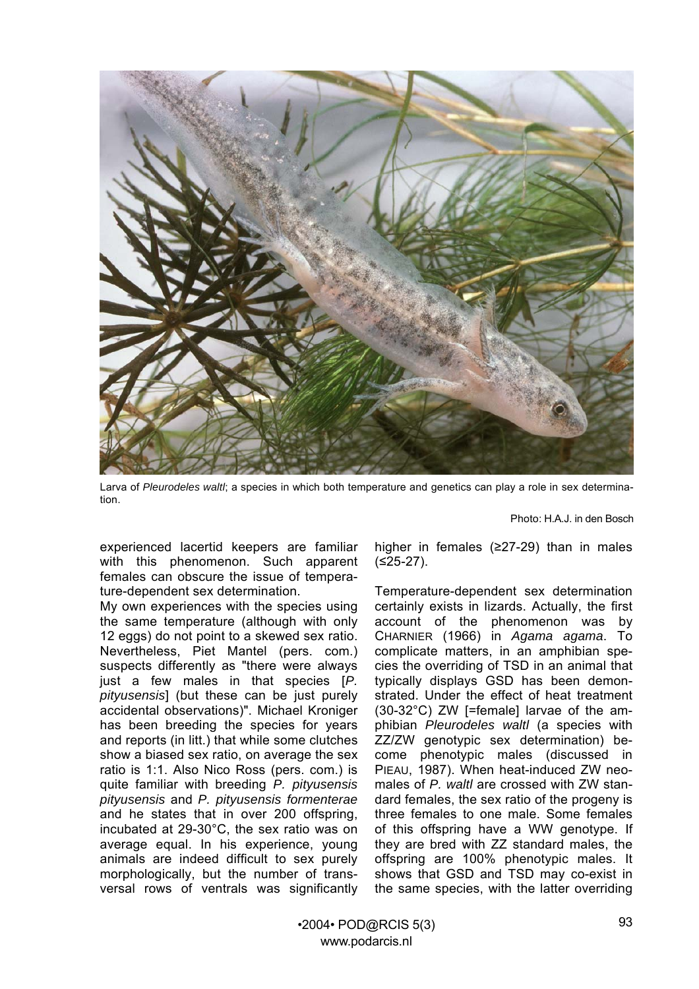

Larva of *Pleurodeles waltl*; a species in which both temperature and genetics can play a role in sex determination.

Photo: H.A.J. in den Bosch

experienced lacertid keepers are familiar with this phenomenon. Such apparent females can obscure the issue of temperature-dependent sex determination.

My own experiences with the species using the same temperature (although with only 12 eggs) do not point to a skewed sex ratio. Nevertheless, Piet Mantel (pers. com.) suspects differently as "there were always just a few males in that species [*P. pityusensis*] (but these can be just purely accidental observations)". Michael Kroniger has been breeding the species for years and reports (in litt.) that while some clutches show a biased sex ratio, on average the sex ratio is 1:1. Also Nico Ross (pers. com.) is quite familiar with breeding *P. pityusensis pityusensis* and *P. pityusensis formenterae* and he states that in over 200 offspring, incubated at 29-30°C, the sex ratio was on average equal. In his experience, young animals are indeed difficult to sex purely morphologically, but the number of transversal rows of ventrals was significantly

higher in females (≥27-29) than in males (≤25-27).

Temperature-dependent sex determination certainly exists in lizards. Actually, the first account of the phenomenon was by CHARNIER (1966) in *Agama agama*. To complicate matters, in an amphibian species the overriding of TSD in an animal that typically displays GSD has been demonstrated. Under the effect of heat treatment (30-32°C) ZW [=female] larvae of the amphibian *Pleurodeles waltl* (a species with ZZ/ZW genotypic sex determination) become phenotypic males (discussed in PIEAU, 1987). When heat-induced ZW neomales of *P. waltl* are crossed with ZW standard females, the sex ratio of the progeny is three females to one male. Some females of this offspring have a WW genotype. If they are bred with ZZ standard males, the offspring are 100% phenotypic males. It shows that GSD and TSD may co-exist in the same species, with the latter overriding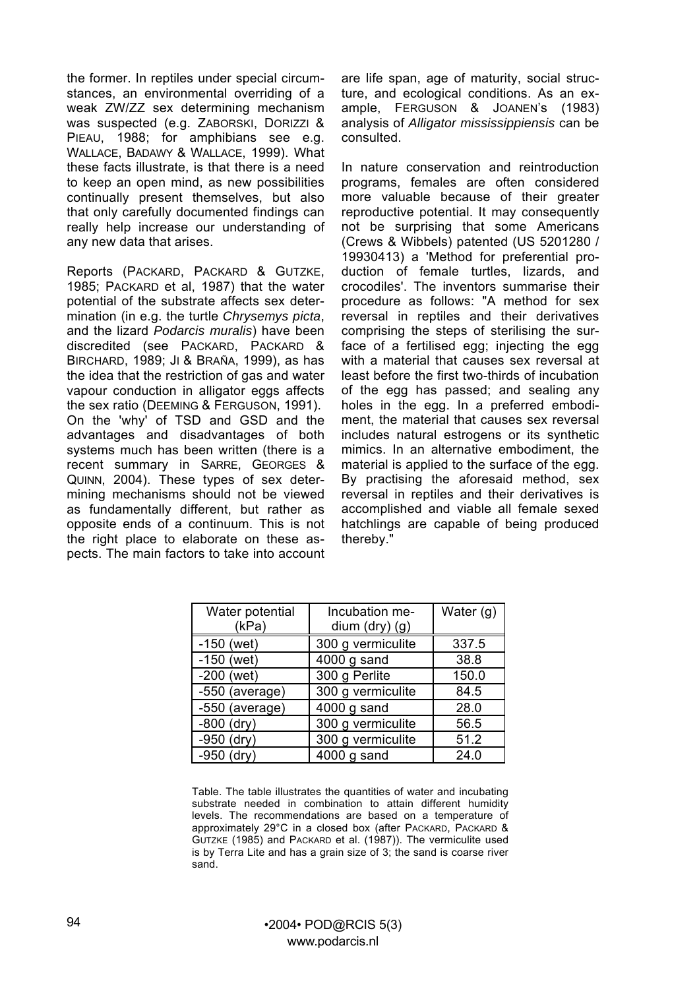the former. In reptiles under special circumstances, an environmental overriding of a weak ZW/ZZ sex determining mechanism was suspected (e.g. ZABORSKI, DORIZZI & PIEAU, 1988; for amphibians see e.g. WALLACE, BADAWY & WALLACE, 1999). What these facts illustrate, is that there is a need to keep an open mind, as new possibilities continually present themselves, but also that only carefully documented findings can really help increase our understanding of any new data that arises.

Reports (PACKARD, PACKARD & GUTZKE, 1985; PACKARD et al, 1987) that the water potential of the substrate affects sex determination (in e.g. the turtle *Chrysemys picta*, and the lizard *Podarcis muralis*) have been discredited (see PACKARD, PACKARD & BIRCHARD, 1989; JI & BRAÑA, 1999), as has the idea that the restriction of gas and water vapour conduction in alligator eggs affects the sex ratio (DEEMING & FERGUSON, 1991). On the 'why' of TSD and GSD and the advantages and disadvantages of both systems much has been written (there is a recent summary in SARRE, GEORGES & QUINN, 2004). These types of sex determining mechanisms should not be viewed as fundamentally different, but rather as opposite ends of a continuum. This is not the right place to elaborate on these aspects. The main factors to take into account

are life span, age of maturity, social structure, and ecological conditions. As an example, FERGUSON & JOANEN's (1983) analysis of *Alligator mississippiensis* can be consulted.

In nature conservation and reintroduction programs, females are often considered more valuable because of their greater reproductive potential. It may consequently not be surprising that some Americans (Crews & Wibbels) patented (US 5201280 / 19930413) a 'Method for preferential production of female turtles, lizards, and crocodiles'. The inventors summarise their procedure as follows: "A method for sex reversal in reptiles and their derivatives comprising the steps of sterilising the surface of a fertilised egg; injecting the egg with a material that causes sex reversal at least before the first two-thirds of incubation of the egg has passed; and sealing any holes in the egg. In a preferred embodiment, the material that causes sex reversal includes natural estrogens or its synthetic mimics. In an alternative embodiment, the material is applied to the surface of the egg. By practising the aforesaid method, sex reversal in reptiles and their derivatives is accomplished and viable all female sexed hatchlings are capable of being produced thereby."

| Water potential<br>(kPa) | Incubation me-<br>dium (dry) (g) | Water $(g)$ |
|--------------------------|----------------------------------|-------------|
| $-150$ (wet)             | 300 g vermiculite                | 337.5       |
| $-150$ (wet)             | $4000$ g sand                    | 38.8        |
| $-200$ (wet)             | 300 g Perlite                    | 150.0       |
| -550 (average)           | 300 g vermiculite                | 84.5        |
| $-550$ (average)         | 4000 g sand                      | 28.0        |
| $-800$ (dry)             | 300 g vermiculite                | 56.5        |
| $-950$ (dry)             | 300 g vermiculite                | 51.2        |
| $-950$ (dry)             | $4000$ g sand                    | 24.0        |

Table. The table illustrates the quantities of water and incubating substrate needed in combination to attain different humidity levels. The recommendations are based on a temperature of approximately 29°C in a closed box (after PACKARD, PACKARD & GUTZKE (1985) and PACKARD et al. (1987)). The vermiculite used is by Terra Lite and has a grain size of 3; the sand is coarse river sand.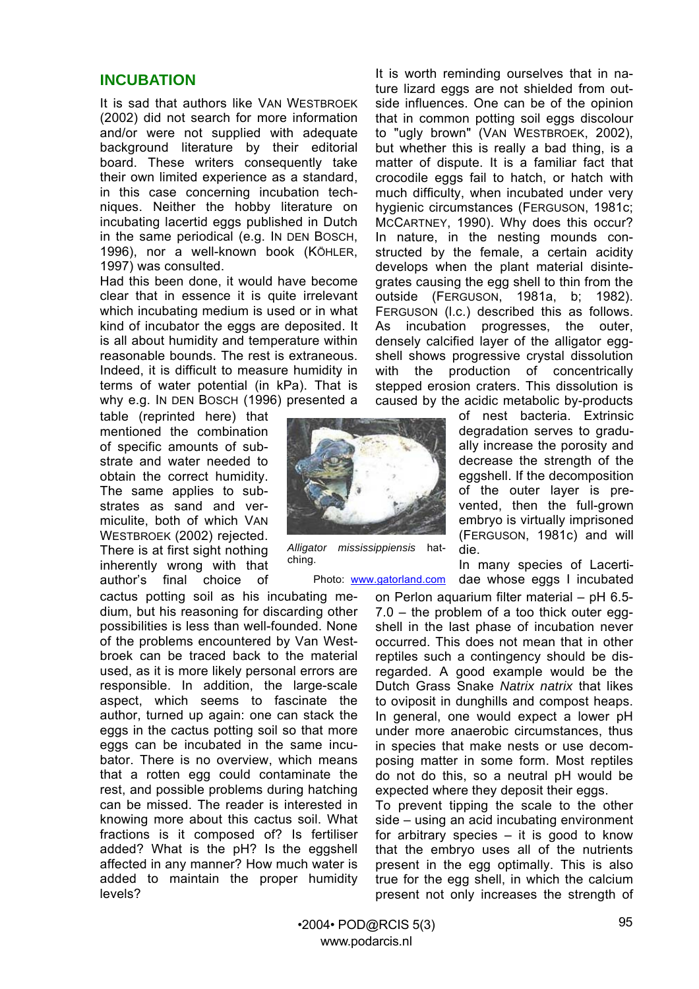#### **INCUBATION**

It is sad that authors like VAN WESTBROEK (2002) did not search for more information and/or were not supplied with adequate background literature by their editorial board. These writers consequently take their own limited experience as a standard, in this case concerning incubation techniques. Neither the hobby literature on incubating lacertid eggs published in Dutch in the same periodical (e.g. IN DEN BOSCH, 1996), nor a well-known book (KÖHLER, 1997) was consulted.

Had this been done, it would have become clear that in essence it is quite irrelevant which incubating medium is used or in what kind of incubator the eggs are deposited. It is all about humidity and temperature within reasonable bounds. The rest is extraneous. Indeed, it is difficult to measure humidity in terms of water potential (in kPa). That is why e.g. IN DEN BOSCH (1996) presented a

table (reprinted here) that mentioned the combination of specific amounts of substrate and water needed to obtain the correct humidity. The same applies to substrates as sand and vermiculite, both of which VAN WESTBROEK (2002) rejected. There is at first sight nothing inherently wrong with that author's final choice of

cactus potting soil as his incubating medium, but his reasoning for discarding other possibilities is less than well-founded. None of the problems encountered by Van Westbroek can be traced back to the material used, as it is more likely personal errors are responsible. In addition, the large-scale aspect, which seems to fascinate the author, turned up again: one can stack the eggs in the cactus potting soil so that more eggs can be incubated in the same incubator. There is no overview, which means that a rotten egg could contaminate the rest, and possible problems during hatching can be missed. The reader is interested in knowing more about this cactus soil. What fractions is it composed of? Is fertiliser added? What is the pH? Is the eggshell affected in any manner? How much water is added to maintain the proper humidity levels?

It is worth reminding ourselves that in nature lizard eggs are not shielded from outside influences. One can be of the opinion that in common potting soil eggs discolour to "ugly brown" (VAN WESTBROEK, 2002), but whether this is really a bad thing, is a matter of dispute. It is a familiar fact that crocodile eggs fail to hatch, or hatch with much difficulty, when incubated under very hygienic circumstances (FERGUSON, 1981c; MCCARTNEY, 1990). Why does this occur? In nature, in the nesting mounds constructed by the female, a certain acidity develops when the plant material disintegrates causing the egg shell to thin from the outside (FERGUSON, 1981a, b; 1982). FERGUSON (l.c.) described this as follows. As incubation progresses, the outer, densely calcified layer of the alligator eggshell shows progressive crystal dissolution with the production of concentrically stepped erosion craters. This dissolution is caused by the acidic metabolic by-products

> of nest bacteria. Extrinsic degradation serves to gradually increase the porosity and decrease the strength of the eggshell. If the decomposition of the outer layer is prevented, then the full-grown embryo is virtually imprisoned (FERGUSON, 1981c) and will die.

In many species of Lacertidae whose eggs I incubated

on Perlon aquarium filter material – pH 6.5- 7.0 – the problem of a too thick outer eggshell in the last phase of incubation never occurred. This does not mean that in other reptiles such a contingency should be disregarded. A good example would be the Dutch Grass Snake *Natrix natrix* that likes to oviposit in dunghills and compost heaps. In general, one would expect a lower pH under more anaerobic circumstances, thus in species that make nests or use decomposing matter in some form. Most reptiles do not do this, so a neutral pH would be expected where they deposit their eggs.

To prevent tipping the scale to the other side – using an acid incubating environment for arbitrary species  $-$  it is good to know that the embryo uses all of the nutrients present in the egg optimally. This is also true for the egg shell, in which the calcium present not only increases the strength of



*Alligator mississippiensis* hatching.

Photo: [www.gatorland.com](http://www.gatorland.com/)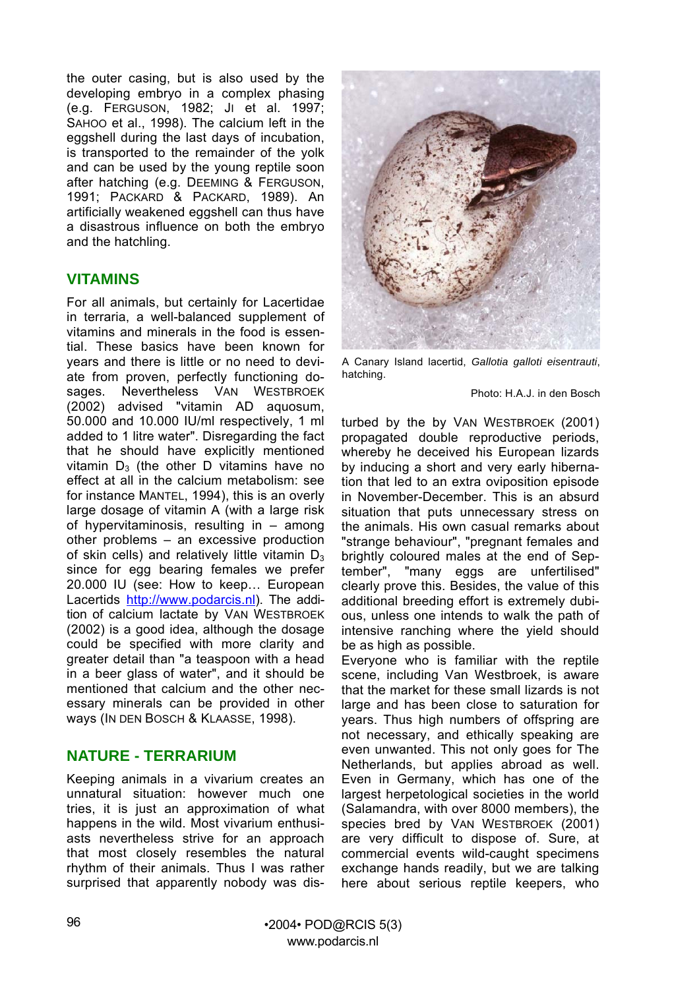the outer casing, but is also used by the developing embryo in a complex phasing (e.g. FERGUSON, 1982; JI et al. 1997; SAHOO et al., 1998). The calcium left in the eggshell during the last days of incubation, is transported to the remainder of the yolk and can be used by the young reptile soon after hatching (e.g. DEEMING & FERGUSON, 1991; PACKARD & PACKARD, 1989). An artificially weakened eggshell can thus have a disastrous influence on both the embryo and the hatchling.

#### **VITAMINS**

For all animals, but certainly for Lacertidae in terraria, a well-balanced supplement of vitamins and minerals in the food is essential. These basics have been known for years and there is little or no need to deviate from proven, perfectly functioning dosages. Nevertheless VAN WESTBROEK (2002) advised "vitamin AD aquosum, 50.000 and 10.000 IU/ml respectively, 1 ml added to 1 litre water". Disregarding the fact that he should have explicitly mentioned vitamin  $D_3$  (the other D vitamins have no effect at all in the calcium metabolism: see for instance MANTEL, 1994), this is an overly large dosage of vitamin A (with a large risk of hypervitaminosis, resulting in – among other problems – an excessive production of skin cells) and relatively little vitamin  $D_3$ since for egg bearing females we prefer 20.000 IU (see: How to keep… European Lacertids [http://www.podarcis.nl\)](http://www.podarcis.nl)/). The addition of calcium lactate by VAN WESTBROEK (2002) is a good idea, although the dosage could be specified with more clarity and greater detail than "a teaspoon with a head in a beer glass of water", and it should be mentioned that calcium and the other necessary minerals can be provided in other ways (IN DEN BOSCH & KLAASSE, 1998).

## **NATURE - TERRARIUM**

Keeping animals in a vivarium creates an unnatural situation: however much one tries, it is just an approximation of what happens in the wild. Most vivarium enthusiasts nevertheless strive for an approach that most closely resembles the natural rhythm of their animals. Thus I was rather surprised that apparently nobody was dis-



A Canary Island lacertid, *Gallotia galloti eisentrauti*, hatching.

Photo: H.A.J. in den Bosch

turbed by the by VAN WESTBROEK (2001) propagated double reproductive periods, whereby he deceived his European lizards by inducing a short and very early hibernation that led to an extra oviposition episode in November-December. This is an absurd situation that puts unnecessary stress on the animals. His own casual remarks about "strange behaviour", "pregnant females and brightly coloured males at the end of September", "many eggs are unfertilised" clearly prove this. Besides, the value of this additional breeding effort is extremely dubious, unless one intends to walk the path of intensive ranching where the yield should be as high as possible.

Everyone who is familiar with the reptile scene, including Van Westbroek, is aware that the market for these small lizards is not large and has been close to saturation for years. Thus high numbers of offspring are not necessary, and ethically speaking are even unwanted. This not only goes for The Netherlands, but applies abroad as well. Even in Germany, which has one of the largest herpetological societies in the world (Salamandra, with over 8000 members), the species bred by VAN WESTBROEK (2001) are very difficult to dispose of. Sure, at commercial events wild-caught specimens exchange hands readily, but we are talking here about serious reptile keepers, who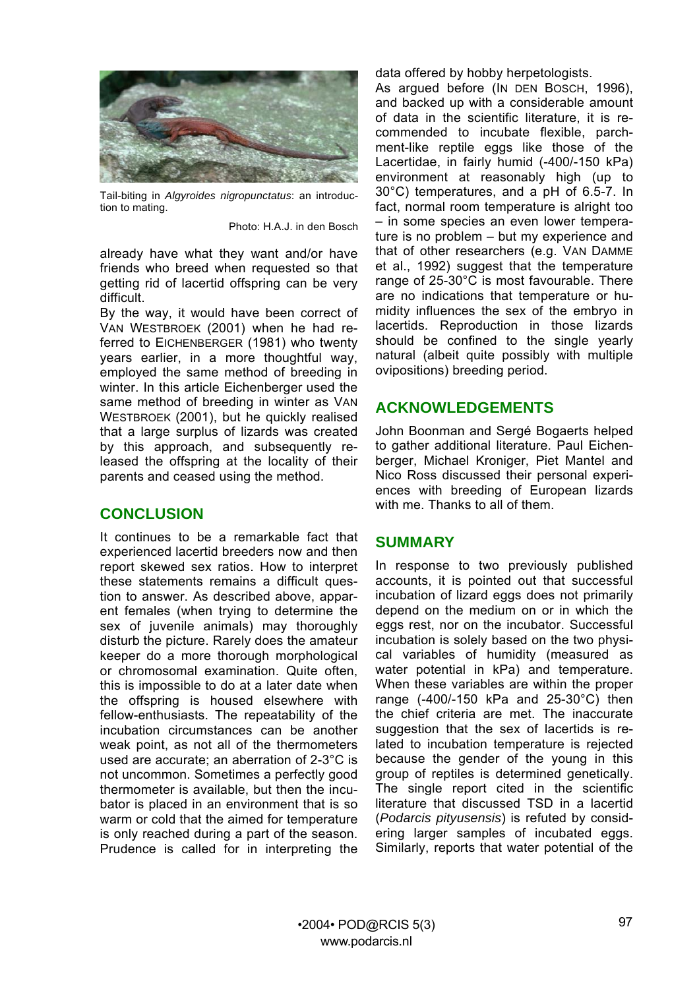

Tail-biting in *Algyroides nigropunctatus*: an introduction to mating.

Photo: H.A.J. in den Bosch

already have what they want and/or have friends who breed when requested so that getting rid of lacertid offspring can be very difficult.

By the way, it would have been correct of VAN WESTBROEK (2001) when he had referred to EICHENBERGER (1981) who twenty years earlier, in a more thoughtful way, employed the same method of breeding in winter. In this article Eichenberger used the same method of breeding in winter as VAN WESTBROEK (2001), but he quickly realised that a large surplus of lizards was created by this approach, and subsequently released the offspring at the locality of their parents and ceased using the method.

#### **CONCLUSION**

It continues to be a remarkable fact that experienced lacertid breeders now and then report skewed sex ratios. How to interpret these statements remains a difficult question to answer. As described above, apparent females (when trying to determine the sex of juvenile animals) may thoroughly disturb the picture. Rarely does the amateur keeper do a more thorough morphological or chromosomal examination. Quite often, this is impossible to do at a later date when the offspring is housed elsewhere with fellow-enthusiasts. The repeatability of the incubation circumstances can be another weak point, as not all of the thermometers used are accurate; an aberration of 2-3°C is not uncommon. Sometimes a perfectly good thermometer is available, but then the incubator is placed in an environment that is so warm or cold that the aimed for temperature is only reached during a part of the season. Prudence is called for in interpreting the

data offered by hobby herpetologists.

As argued before (IN DEN BOSCH, 1996), and backed up with a considerable amount of data in the scientific literature, it is recommended to incubate flexible, parchment-like reptile eggs like those of the Lacertidae, in fairly humid (-400/-150 kPa) environment at reasonably high (up to 30°C) temperatures, and a pH of 6.5-7. In fact, normal room temperature is alright too – in some species an even lower temperature is no problem – but my experience and that of other researchers (e.g. VAN DAMME et al., 1992) suggest that the temperature range of 25-30°C is most favourable. There are no indications that temperature or humidity influences the sex of the embryo in lacertids. Reproduction in those lizards should be confined to the single yearly natural (albeit quite possibly with multiple ovipositions) breeding period.

#### **ACKNOWLEDGEMENTS**

John Boonman and Sergé Bogaerts helped to gather additional literature. Paul Eichenberger, Michael Kroniger, Piet Mantel and Nico Ross discussed their personal experiences with breeding of European lizards with me. Thanks to all of them.

#### **SUMMARY**

In response to two previously published accounts, it is pointed out that successful incubation of lizard eggs does not primarily depend on the medium on or in which the eggs rest, nor on the incubator. Successful incubation is solely based on the two physical variables of humidity (measured as water potential in kPa) and temperature. When these variables are within the proper range (-400/-150 kPa and 25-30°C) then the chief criteria are met. The inaccurate suggestion that the sex of lacertids is related to incubation temperature is rejected because the gender of the young in this group of reptiles is determined genetically. The single report cited in the scientific literature that discussed TSD in a lacertid (*Podarcis pityusensis*) is refuted by considering larger samples of incubated eggs. Similarly, reports that water potential of the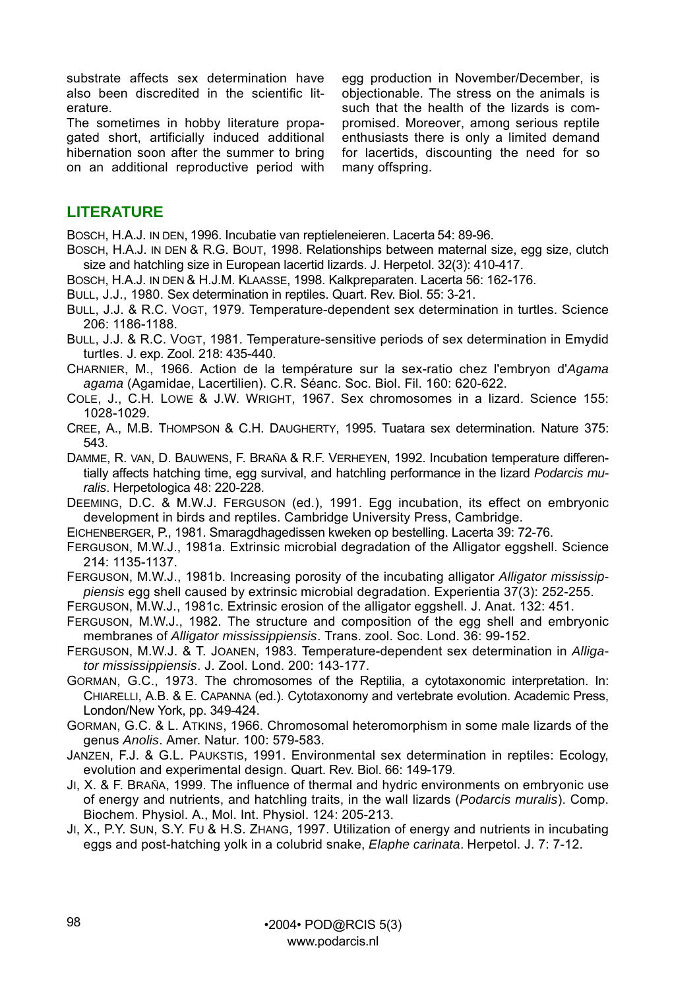substrate affects sex determination have also been discredited in the scientific literature.

The sometimes in hobby literature propagated short, artificially induced additional hibernation soon after the summer to bring on an additional reproductive period with

egg production in November/December, is objectionable. The stress on the animals is such that the health of the lizards is compromised. Moreover, among serious reptile enthusiasts there is only a limited demand for lacertids, discounting the need for so many offspring.

# **LITERATURE**

BOSCH, H.A.J. IN DEN, 1996. Incubatie van reptieleneieren. Lacerta 54: 89-96.

- BOSCH, H.A.J. IN DEN & R.G. BOUT, 1998. Relationships between maternal size, egg size, clutch size and hatchling size in European lacertid lizards. J. Herpetol. 32(3): 410-417.
- BOSCH, H.A.J. IN DEN & H.J.M. KLAASSE, 1998. Kalkpreparaten. Lacerta 56: 162-176.
- BULL, J.J., 1980. Sex determination in reptiles. Quart. Rev. Biol. 55: 3-21.
- BULL, J.J. & R.C. VOGT, 1979. Temperature-dependent sex determination in turtles. Science 206: 1186-1188.
- BULL, J.J. & R.C. VOGT, 1981. Temperature-sensitive periods of sex determination in Emydid turtles. J. exp. Zool. 218: 435-440.
- CHARNIER, M., 1966. Action de la température sur la sex-ratio chez l'embryon d'*Agama agama* (Agamidae, Lacertilien). C.R. Séanc. Soc. Biol. Fil. 160: 620-622.
- COLE, J., C.H. LOWE & J.W. WRIGHT, 1967. Sex chromosomes in a lizard. Science 155: 1028-1029.
- CREE, A., M.B. THOMPSON & C.H. DAUGHERTY, 1995. Tuatara sex determination. Nature 375: 543.
- DAMME, R. VAN, D. BAUWENS, F. BRAÑA & R.F. VERHEYEN, 1992. Incubation temperature differentially affects hatching time, egg survival, and hatchling performance in the lizard *Podarcis muralis*. Herpetologica 48: 220-228.
- DEEMING, D.C. & M.W.J. FERGUSON (ed.), 1991. Egg incubation, its effect on embryonic development in birds and reptiles. Cambridge University Press, Cambridge.
- EICHENBERGER, P., 1981. Smaragdhagedissen kweken op bestelling. Lacerta 39: 72-76.
- FERGUSON, M.W.J., 1981a. Extrinsic microbial degradation of the Alligator eggshell. Science 214: 1135-1137.
- FERGUSON, M.W.J., 1981b. Increasing porosity of the incubating alligator *Alligator mississippiensis* egg shell caused by extrinsic microbial degradation. Experientia 37(3): 252-255.
- FERGUSON, M.W.J., 1981c. Extrinsic erosion of the alligator eggshell. J. Anat. 132: 451.
- FERGUSON, M.W.J., 1982. The structure and composition of the egg shell and embryonic membranes of *Alligator mississippiensis*. Trans. zool. Soc. Lond. 36: 99-152.
- FERGUSON, M.W.J. & T. JOANEN, 1983. Temperature-dependent sex determination in *Alligator mississippiensis*. J. Zool. Lond. 200: 143-177.
- GORMAN, G.C., 1973. The chromosomes of the Reptilia, a cytotaxonomic interpretation. In: CHIARELLI, A.B. & E. CAPANNA (ed.). Cytotaxonomy and vertebrate evolution. Academic Press, London/New York, pp. 349-424.
- GORMAN, G.C. & L. ATKINS, 1966. Chromosomal heteromorphism in some male lizards of the genus *Anolis*. Amer. Natur. 100: 579-583.
- JANZEN, F.J. & G.L. PAUKSTIS, 1991. Environmental sex determination in reptiles: Ecology, evolution and experimental design. Quart. Rev. Biol. 66: 149-179.
- JI, X. & F. BRAÑA, 1999. The influence of thermal and hydric environments on embryonic use of energy and nutrients, and hatchling traits, in the wall lizards (*Podarcis muralis*). Comp. Biochem. Physiol. A., Mol. Int. Physiol. 124: 205-213.
- JI, X., P.Y. SUN, S.Y. FU & H.S. ZHANG, 1997. Utilization of energy and nutrients in incubating eggs and post-hatching yolk in a colubrid snake, *Elaphe carinata*. Herpetol. J. 7: 7-12.